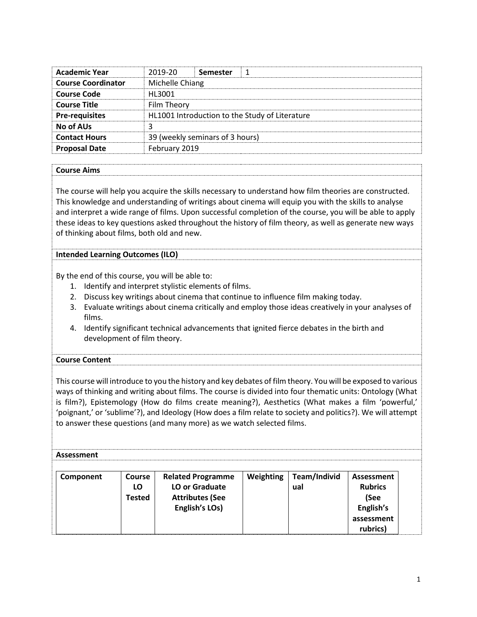| <b>Academic Year</b>      | 2019-20                                        | Semester        |  |  |  |  |  |
|---------------------------|------------------------------------------------|-----------------|--|--|--|--|--|
| <b>Course Coordinator</b> |                                                | Michelle Chiang |  |  |  |  |  |
| <b>Course Code</b>        | HL3001                                         |                 |  |  |  |  |  |
| <b>Course Title</b>       | Film Theory                                    |                 |  |  |  |  |  |
| <b>Pre-requisites</b>     | HL1001 Introduction to the Study of Literature |                 |  |  |  |  |  |
| <b>No of AUs</b>          |                                                |                 |  |  |  |  |  |
| <b>Contact Hours</b>      | 39 (weekly seminars of 3 hours)                |                 |  |  |  |  |  |
| <b>Proposal Date</b>      | February 2019                                  |                 |  |  |  |  |  |

## **Course Aims**

The course will help you acquire the skills necessary to understand how film theories are constructed. This knowledge and understanding of writings about cinema will equip you with the skills to analyse and interpret a wide range of films. Upon successful completion of the course, you will be able to apply these ideas to key questions asked throughout the history of film theory, as well as generate new ways of thinking about films, both old and new.

**Intended Learning Outcomes (ILO)**

By the end of this course, you will be able to:

- 1. Identify and interpret stylistic elements of films.
- 2. Discuss key writings about cinema that continue to influence film making today.
- 3. Evaluate writings about cinema critically and employ those ideas creatively in your analyses of films.
- 4. Identify significant technical advancements that ignited fierce debates in the birth and development of film theory.

## **Course Content**

This course will introduce to you the history and key debates of film theory. You will be exposed to various ways of thinking and writing about films. The course is divided into four thematic units: Ontology (What is film?), Epistemology (How do films create meaning?), Aesthetics (What makes a film 'powerful,' 'poignant,' or 'sublime'?), and Ideology (How does a film relate to society and politics?). We will attempt to answer these questions (and many more) as we watch selected films.

## **Assessment**

| Component | <b>Course</b><br>LO<br>Tested | <b>Related Programme</b><br>LO or Graduate<br><b>Attributes (See</b> | Weighting | Team/Individ<br>ual | Assessment<br><b>Rubrics</b><br>(See |
|-----------|-------------------------------|----------------------------------------------------------------------|-----------|---------------------|--------------------------------------|
|           |                               | English's LOs)                                                       |           |                     | English's                            |
|           |                               |                                                                      |           |                     | assessment                           |
|           |                               |                                                                      |           |                     | rubrics)                             |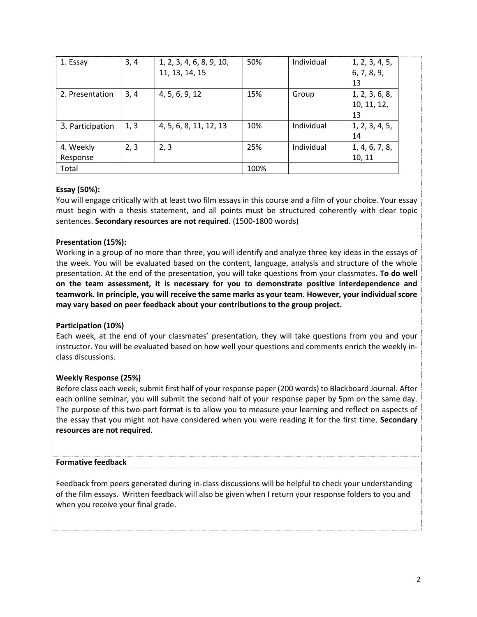| 1. Essay         | 3, 4 | 1, 2, 3, 4, 6, 8, 9, 10, | 50%  | Individual | 1, 2, 3, 4, 5, |
|------------------|------|--------------------------|------|------------|----------------|
|                  |      | 11, 13, 14, 15           |      |            | 6, 7, 8, 9,    |
|                  |      |                          |      |            | 13             |
| 2. Presentation  | 3,4  | 4, 5, 6, 9, 12           | 15%  | Group      | 1, 2, 3, 6, 8, |
|                  |      |                          |      |            | 10, 11, 12,    |
|                  |      |                          |      |            | 13             |
| 3. Participation | 1, 3 | 4, 5, 6, 8, 11, 12, 13   | 10%  | Individual | 1, 2, 3, 4, 5, |
|                  |      |                          |      |            | 14             |
| 4. Weekly        | 2, 3 | 2, 3                     | 25%  | Individual | 1, 4, 6, 7, 8, |
| Response         |      |                          |      |            | 10, 11         |
| Total            |      |                          | 100% |            |                |

# **Essay (50%):**

You will engage critically with at least two film essays in this course and a film of your choice. Your essay must begin with a thesis statement, and all points must be structured coherently with clear topic sentences. **Secondary resources are not required**. (1500-1800 words)

# **Presentation (15%):**

Working in a group of no more than three, you will identify and analyze three key ideas in the essays of the week. You will be evaluated based on the content, language, analysis and structure of the whole presentation. At the end of the presentation, you will take questions from your classmates. **To do well on the team assessment, it is necessary for you to demonstrate positive interdependence and teamwork. In principle, you will receive the same marks as your team. However, your individual score may vary based on peer feedback about your contributions to the group project.** 

# **Participation (10%)**

Each week, at the end of your classmates' presentation, they will take questions from you and your instructor. You will be evaluated based on how well your questions and comments enrich the weekly inclass discussions.

# **Weekly Response (25%)**

Before class each week, submit first half of your response paper (200 words) to Blackboard Journal. After each online seminar, you will submit the second half of your response paper by 5pm on the same day. The purpose of this two-part format is to allow you to measure your learning and reflect on aspects of the essay that you might not have considered when you were reading it for the first time. **Secondary resources are not required**.

# **Formative feedback**

Feedback from peers generated during in-class discussions will be helpful to check your understanding of the film essays. Written feedback will also be given when I return your response folders to you and when you receive your final grade.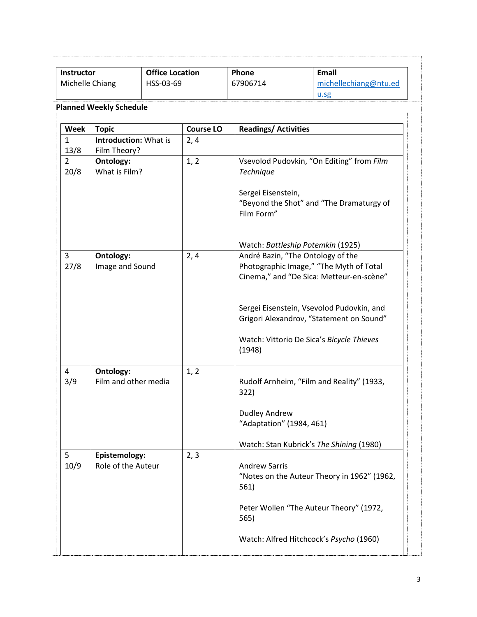| Instructor                                           |                                      | <b>Office Location</b> |                  | Phone                                     | <b>Email</b>                                                                          |
|------------------------------------------------------|--------------------------------------|------------------------|------------------|-------------------------------------------|---------------------------------------------------------------------------------------|
| Michelle Chiang                                      |                                      | HSS-03-69              |                  | 67906714<br>michellechiang@ntu.ed         |                                                                                       |
|                                                      |                                      |                        |                  |                                           | $u.sg$                                                                                |
|                                                      | <b>Planned Weekly Schedule</b>       |                        |                  |                                           |                                                                                       |
| <b>Week</b>                                          | <b>Topic</b>                         |                        | <b>Course LO</b> | <b>Readings/Activities</b>                |                                                                                       |
| $\mathbf{1}$                                         | <b>Introduction: What is</b>         |                        | 2, 4             |                                           |                                                                                       |
| 13/8                                                 | Film Theory?                         |                        |                  |                                           |                                                                                       |
| $\overline{2}$<br>Ontology:<br>What is Film?<br>20/8 |                                      | 1, 2                   | Technique        | Vsevolod Pudovkin, "On Editing" from Film |                                                                                       |
|                                                      |                                      |                        |                  | Sergei Eisenstein,<br>Film Form"          | "Beyond the Shot" and "The Dramaturgy of                                              |
|                                                      |                                      |                        |                  |                                           | Watch: Battleship Potemkin (1925)                                                     |
| 3                                                    | Ontology:<br>2, 4<br>Image and Sound |                        |                  | André Bazin, "The Ontology of the         |                                                                                       |
| 27/8                                                 |                                      |                        |                  |                                           | Photographic Image," "The Myth of Total<br>Cinema," and "De Sica: Metteur-en-scène"   |
|                                                      |                                      |                        |                  |                                           | Sergei Eisenstein, Vsevolod Pudovkin, and<br>Grigori Alexandrov, "Statement on Sound" |
|                                                      |                                      |                        |                  | (1948)                                    | Watch: Vittorio De Sica's Bicycle Thieves                                             |
| 4<br>3/9                                             | Ontology:<br>Film and other media    |                        | 1, 2             | 322)                                      | Rudolf Arnheim, "Film and Reality" (1933,                                             |
|                                                      |                                      |                        |                  | Dudley Andrew<br>"Adaptation" (1984, 461) |                                                                                       |
|                                                      |                                      |                        |                  |                                           | Watch: Stan Kubrick's The Shining (1980)                                              |
| 5<br>10/9                                            | Epistemology:<br>Role of the Auteur  |                        | 2, 3             | <b>Andrew Sarris</b><br>561)              | "Notes on the Auteur Theory in 1962" (1962,                                           |
|                                                      |                                      |                        |                  | 565)                                      | Peter Wollen "The Auteur Theory" (1972,                                               |
|                                                      |                                      |                        |                  |                                           | Watch: Alfred Hitchcock's Psycho (1960)                                               |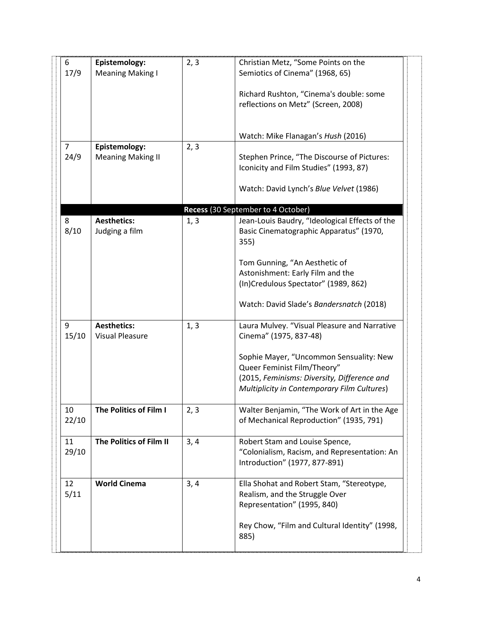| 6              | Epistemology:            | 2, 3 | Christian Metz, "Some Points on the                                        |
|----------------|--------------------------|------|----------------------------------------------------------------------------|
| 17/9           | <b>Meaning Making I</b>  |      | Semiotics of Cinema" (1968, 65)                                            |
|                |                          |      |                                                                            |
|                |                          |      | Richard Rushton, "Cinema's double: some                                    |
|                |                          |      | reflections on Metz" (Screen, 2008)                                        |
|                |                          |      |                                                                            |
|                |                          |      | Watch: Mike Flanagan's Hush (2016)                                         |
| $\overline{7}$ | Epistemology:            | 2, 3 |                                                                            |
| 24/9           | <b>Meaning Making II</b> |      | Stephen Prince, "The Discourse of Pictures:                                |
|                |                          |      | Iconicity and Film Studies" (1993, 87)                                     |
|                |                          |      | Watch: David Lynch's Blue Velvet (1986)                                    |
|                |                          |      | Recess (30 September to 4 October)                                         |
| 8              | <b>Aesthetics:</b>       | 1, 3 | Jean-Louis Baudry, "Ideological Effects of the                             |
| 8/10           | Judging a film           |      | Basic Cinematographic Apparatus" (1970,<br>355)                            |
|                |                          |      | Tom Gunning, "An Aesthetic of                                              |
|                |                          |      | Astonishment: Early Film and the                                           |
|                |                          |      | (In)Credulous Spectator" (1989, 862)                                       |
|                |                          |      |                                                                            |
|                |                          |      | Watch: David Slade's Bandersnatch (2018)                                   |
| 9              | <b>Aesthetics:</b>       | 1, 3 | Laura Mulvey. "Visual Pleasure and Narrative                               |
| 15/10          | <b>Visual Pleasure</b>   |      | Cinema" (1975, 837-48)                                                     |
|                |                          |      |                                                                            |
|                |                          |      | Sophie Mayer, "Uncommon Sensuality: New                                    |
|                |                          |      | Queer Feminist Film/Theory"<br>(2015, Feminisms: Diversity, Difference and |
|                |                          |      | Multiplicity in Contemporary Film Cultures)                                |
|                |                          |      |                                                                            |
| 10             | The Politics of Film I   | 2, 3 | Walter Benjamin, "The Work of Art in the Age                               |
| 22/10          |                          |      | of Mechanical Reproduction" (1935, 791)                                    |
| 11             | The Politics of Film II  | 3, 4 | Robert Stam and Louise Spence,                                             |
| 29/10          |                          |      | "Colonialism, Racism, and Representation: An                               |
|                |                          |      | Introduction" (1977, 877-891)                                              |
| 12             | <b>World Cinema</b>      | 3, 4 | Ella Shohat and Robert Stam, "Stereotype,                                  |
| 5/11           |                          |      | Realism, and the Struggle Over                                             |
|                |                          |      | Representation" (1995, 840)                                                |
|                |                          |      |                                                                            |
|                |                          |      | Rey Chow, "Film and Cultural Identity" (1998,                              |
|                |                          |      | 885)                                                                       |
|                |                          |      |                                                                            |
|                |                          |      |                                                                            |